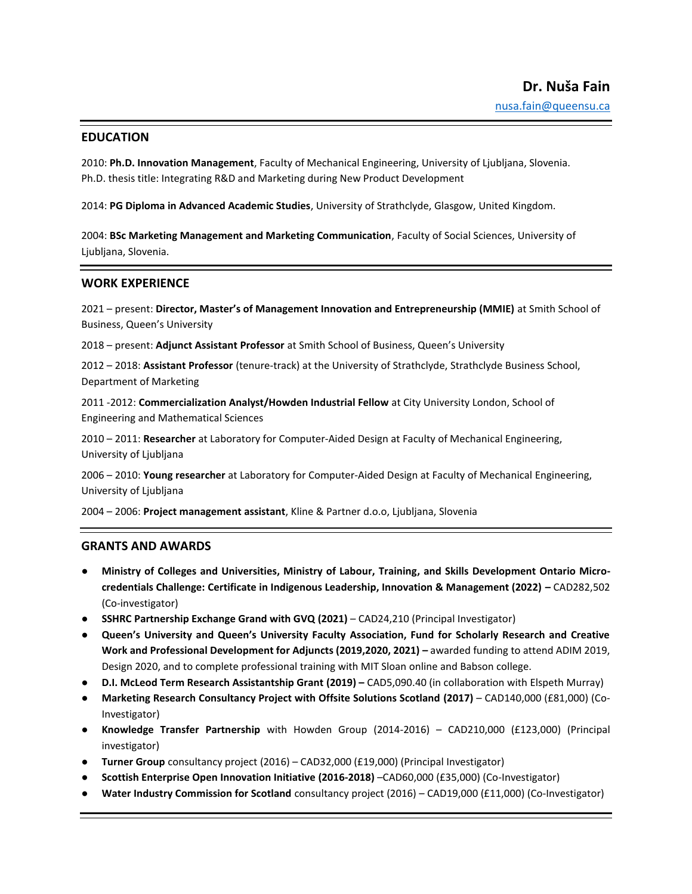# **EDUCATION**

2010: **Ph.D. Innovation Management**, Faculty of Mechanical Engineering, University of Ljubljana, Slovenia. Ph.D. thesis title: Integrating R&D and Marketing during New Product Development

2014: **PG Diploma in Advanced Academic Studies**, University of Strathclyde, Glasgow, United Kingdom.

2004: **BSc Marketing Management and Marketing Communication**, Faculty of Social Sciences, University of Ljubljana, Slovenia.

## **WORK EXPERIENCE**

2021 – present: **Director, Master's of Management Innovation and Entrepreneurship (MMIE)** at Smith School of Business, Queen's University

2018 – present: **Adjunct Assistant Professor** at Smith School of Business, Queen's University

2012 – 2018: **Assistant Professor** (tenure-track) at the University of Strathclyde, Strathclyde Business School, Department of Marketing

2011 -2012: **Commercialization Analyst/Howden Industrial Fellow** at City University London, School of Engineering and Mathematical Sciences

2010 – 2011: **Researcher** at Laboratory for Computer-Aided Design at Faculty of Mechanical Engineering, University of Ljubljana

2006 – 2010: **Young researcher** at Laboratory for Computer-Aided Design at Faculty of Mechanical Engineering, University of Ljubljana

2004 – 2006: **Project management assistant**, Kline & Partner d.o.o, Ljubljana, Slovenia

#### **GRANTS AND AWARDS**

- **Ministry of Colleges and Universities, Ministry of Labour, Training, and Skills Development Ontario Microcredentials Challenge: Certificate in Indigenous Leadership, Innovation & Management (2022) –** CAD282,502 (Co-investigator)
- **SSHRC Partnership Exchange Grand with GVQ (2021)** CAD24,210 (Principal Investigator)
- **Queen's University and Queen's University Faculty Association, Fund for Scholarly Research and Creative Work and Professional Development for Adjuncts (2019,2020, 2021) –** awarded funding to attend ADIM 2019, Design 2020, and to complete professional training with MIT Sloan online and Babson college.
- **D.I. McLeod Term Research Assistantship Grant (2019) –** CAD5,090.40 (in collaboration with Elspeth Murray)
- **Marketing Research Consultancy Project with Offsite Solutions Scotland (2017)** CAD140,000 (£81,000) (Co-Investigator)
- **Knowledge Transfer Partnership** with Howden Group (2014-2016) CAD210,000 (£123,000) (Principal investigator)
- **Turner Group** consultancy project (2016) CAD32,000 (£19,000) (Principal Investigator)
- **Scottish Enterprise Open Innovation Initiative (2016-2018)** –CAD60,000 (£35,000) (Co-Investigator)
- **Water Industry Commission for Scotland** consultancy project (2016) CAD19,000 (£11,000) (Co-Investigator)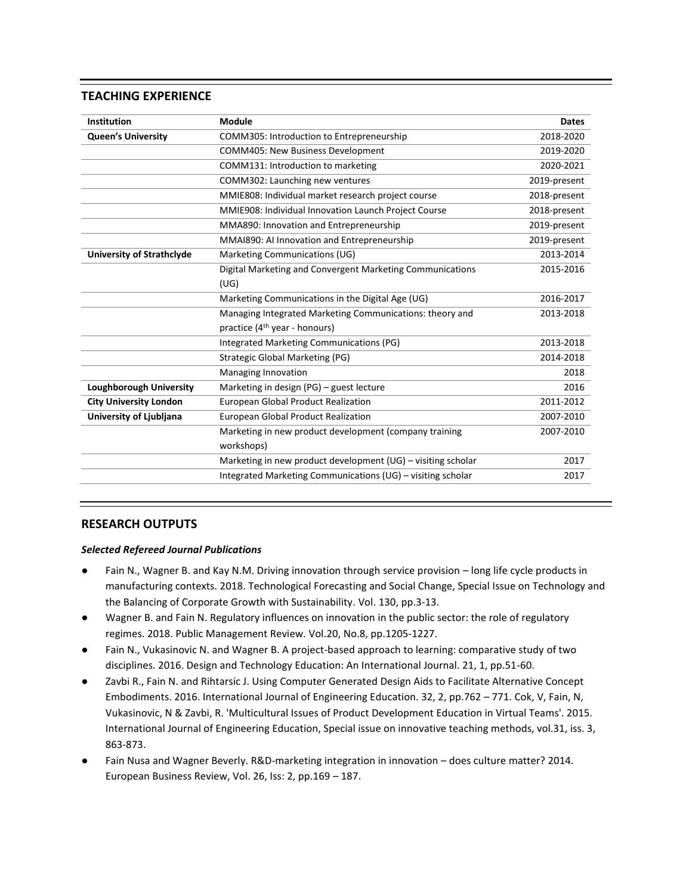# **TEACHING EXPERIENCE**

| COMM305: Introduction to Entrepreneurship                    | 2018-2020    |
|--------------------------------------------------------------|--------------|
| <b>COMM405: New Business Development</b>                     | 2019-2020    |
| COMM131: Introduction to marketing                           | 2020-2021    |
| COMM302: Launching new ventures                              | 2019-present |
| MMIE808: Individual market research project course           | 2018-present |
| MMIE908: Individual Innovation Launch Project Course         | 2018-present |
| MMA890: Innovation and Entrepreneurship                      | 2019-present |
| MMAI890: AI Innovation and Entrepreneurship                  | 2019-present |
| Marketing Communications (UG)                                | 2013-2014    |
| Digital Marketing and Convergent Marketing Communications    | 2015-2016    |
| (UG)                                                         |              |
| Marketing Communications in the Digital Age (UG)             | 2016-2017    |
| Managing Integrated Marketing Communications: theory and     | 2013-2018    |
| practice (4 <sup>th</sup> year - honours)                    |              |
| Integrated Marketing Communications (PG)                     | 2013-2018    |
| <b>Strategic Global Marketing (PG)</b>                       | 2014-2018    |
| Managing Innovation                                          | 2018         |
| Marketing in design (PG) - guest lecture                     | 2016         |
| European Global Product Realization                          | 2011-2012    |
| <b>European Global Product Realization</b>                   | 2007-2010    |
| Marketing in new product development (company training       | 2007-2010    |
| workshops)                                                   |              |
| Marketing in new product development (UG) - visiting scholar | 2017         |
| Integrated Marketing Communications (UG) - visiting scholar  | 2017         |
|                                                              |              |

# **RESEARCH OUTPUTS**

#### *Selected Refereed Journal Publications*

- Fain N., Wagner B. and Kay N.M. Driving innovation through service provision long life cycle products in manufacturing contexts. 2018. Technological Forecasting and Social Change, Special Issue on Technology and the Balancing of Corporate Growth with Sustainability. Vol. 130, pp.3-13.
- Wagner B. and Fain N. Regulatory influences on innovation in the public sector: the role of regulatory regimes. 2018. Public Management Review. Vol.20, No.8, pp.1205-1227.
- Fain N., Vukasinovic N. and Wagner B. A project-based approach to learning: comparative study of two disciplines. 2016. Design and Technology Education: An International Journal. 21, 1, pp.51-60.
- Zavbi R., Fain N. and Rihtarsic J. Using Computer Generated Design Aids to Facilitate Alternative Concept Embodiments. 2016. International Journal of Engineering Education. 32, 2, pp.762 – 771. Cok, V, Fain, N, Vukasinovic, N & Zavbi, R. 'Multicultural Issues of Product Development Education in Virtual Teams'. 2015. International Journal of Engineering Education, Special issue on innovative teaching methods, vol.31, iss. 3, 863-873.
- Fain Nusa and Wagner Beverly. R&D-marketing integration in innovation does culture matter? 2014. European Business Review, Vol. 26, Iss: 2, pp.169 – 187.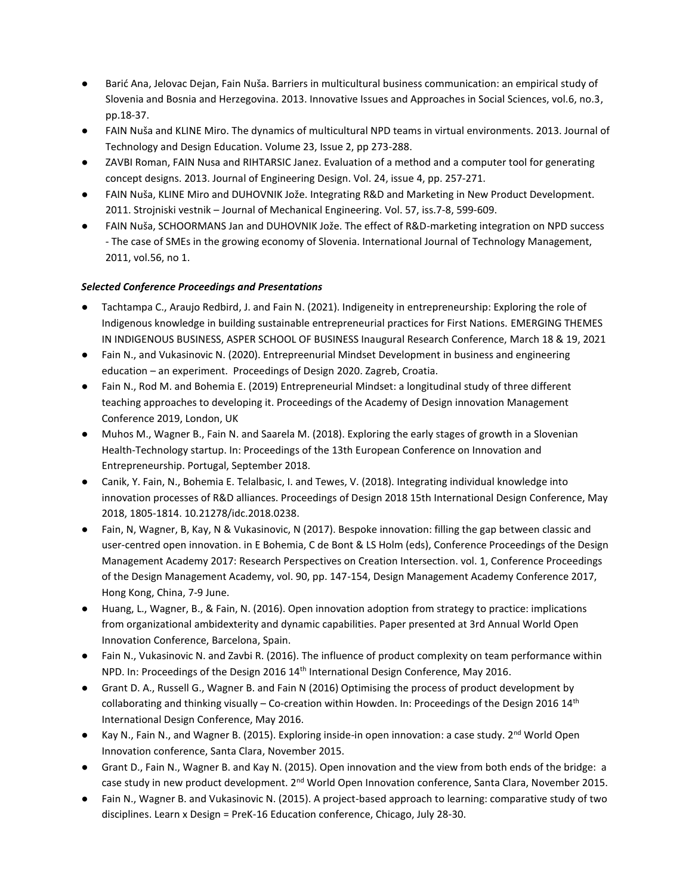- Barić Ana, Jelovac Dejan, Fain Nuša. Barriers in multicultural business communication: an empirical study of Slovenia and Bosnia and Herzegovina. 2013. Innovative Issues and Approaches in Social Sciences, vol.6, no.3, pp.18-37.
- FAIN Nuša and KLINE Miro. The dynamics of multicultural NPD teams in virtual environments. 2013. Journal of Technology and Design Education. Volume 23, Issue 2, pp 273-288.
- ZAVBI Roman, FAIN Nusa and RIHTARSIC Janez. Evaluation of a method and a computer tool for generating concept designs. 2013. Journal of Engineering Design. Vol. 24, issue 4, pp. 257-271.
- FAIN Nuša, KLINE Miro and DUHOVNIK Jože. Integrating R&D and Marketing in New Product Development. 2011. Strojniski vestnik – Journal of Mechanical Engineering. Vol. 57, iss.7-8, 599-609.
- FAIN Nuša, SCHOORMANS Jan and DUHOVNIK Jože. The effect of R&D-marketing integration on NPD success - The case of SMEs in the growing economy of Slovenia. International Journal of Technology Management, 2011, vol.56, no 1.

## *Selected Conference Proceedings and Presentations*

- Tachtampa C., Araujo Redbird, J. and Fain N. (2021). Indigeneity in entrepreneurship: Exploring the role of Indigenous knowledge in building sustainable entrepreneurial practices for First Nations. EMERGING THEMES IN INDIGENOUS BUSINESS, ASPER SCHOOL OF BUSINESS Inaugural Research Conference, March 18 & 19, 2021
- Fain N., and Vukasinovic N. (2020). Entrepreenurial Mindset Development in business and engineering education – an experiment. Proceedings of Design 2020. Zagreb, Croatia.
- Fain N., Rod M. and Bohemia E. (2019) Entrepreneurial Mindset: a longitudinal study of three different teaching approaches to developing it. Proceedings of the Academy of Design innovation Management Conference 2019, London, UK
- Muhos M., Wagner B., Fain N. and Saarela M. (2018). Exploring the early stages of growth in a Slovenian Health-Technology startup. In: Proceedings of the 13th European Conference on Innovation and Entrepreneurship. Portugal, September 2018.
- Canik, Y. Fain, N., Bohemia E. Telalbasic, I. and Tewes, V. (2018). Integrating individual knowledge into innovation processes of R&D alliances. Proceedings of Design 2018 15th International Design Conference, May 2018, 1805-1814. 10.21278/idc.2018.0238.
- Fain, N, Wagner, B, Kay, N & Vukasinovic, N (2017). Bespoke innovation: filling the gap between classic and user-centred open innovation. in E Bohemia, C de Bont & LS Holm (eds), Conference Proceedings of the Design Management Academy 2017: Research Perspectives on Creation Intersection. vol. 1, Conference Proceedings of the Design Management Academy, vol. 90, pp. 147-154, Design Management Academy Conference 2017, Hong Kong, China, 7-9 June.
- Huang, L., Wagner, B., & Fain, N. (2016). Open innovation adoption from strategy to practice: implications from organizational ambidexterity and dynamic capabilities. Paper presented at 3rd Annual World Open Innovation Conference, Barcelona, Spain.
- Fain N., Vukasinovic N. and Zavbi R. (2016). The influence of product complexity on team performance within NPD. In: Proceedings of the Design 2016 14th International Design Conference, May 2016.
- Grant D. A., Russell G., Wagner B. and Fain N (2016) Optimising the process of product development by collaborating and thinking visually – Co-creation within Howden. In: Proceedings of the Design 2016  $14<sup>th</sup>$ International Design Conference, May 2016.
- Kay N., Fain N., and Wagner B. (2015). Exploring inside-in open innovation: a case study. 2<sup>nd</sup> World Open Innovation conference, Santa Clara, November 2015.
- Grant D., Fain N., Wagner B. and Kay N. (2015). Open innovation and the view from both ends of the bridge: a case study in new product development. 2<sup>nd</sup> World Open Innovation conference, Santa Clara, November 2015.
- Fain N., Wagner B. and Vukasinovic N. (2015). A project-based approach to learning: comparative study of two disciplines. Learn x Design = PreK-16 Education conference, Chicago, July 28-30.